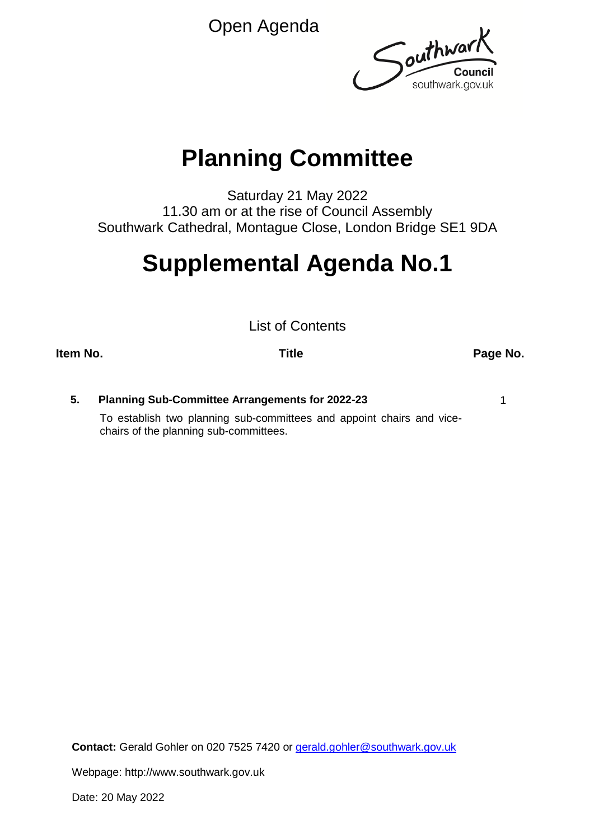Open Agenda



## **Planning Committee**

Saturday 21 May 2022 11.30 am or at the rise of Council Assembly Southwark Cathedral, Montague Close, London Bridge SE1 9DA

# **Supplemental Agenda No.1**

List of Contents

**Item No. Title Page No.**

**5. Planning Sub-Committee Arrangements for 2022-23** 1 To establish two planning sub-committees and appoint chairs and vicechairs of the planning sub-committees.

**Contact:** Gerald Gohler on 020 7525 7420 or [gerald.gohler@southwark.gov.uk](mailto:gerald.gohler@southwark.gov.uk)

Webpage: http://www.southwark.gov.uk

Date: 20 May 2022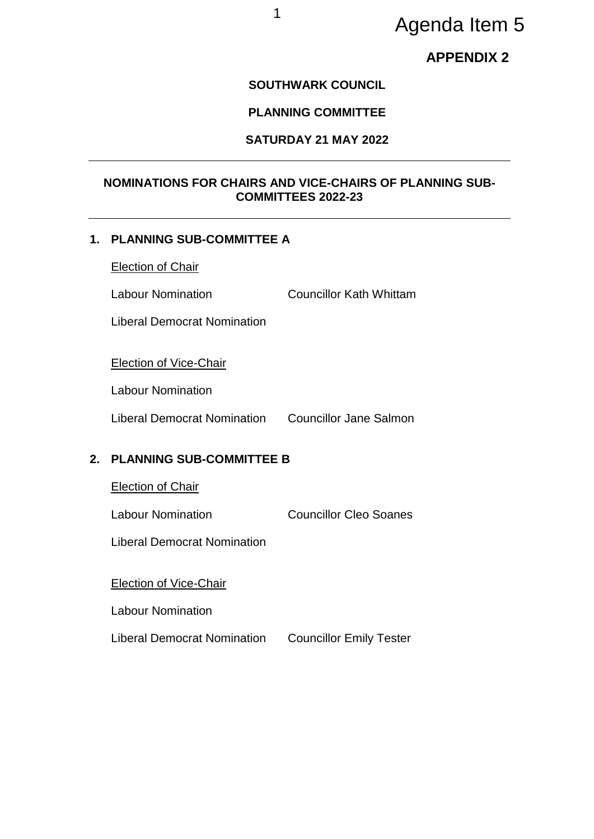## Agenda Item 5

### **APPENDIX 2**

#### **SOUTHWARK COUNCIL**

#### **PLANNING COMMITTEE**

#### **SATURDAY 21 MAY 2022**

#### **NOMINATIONS FOR CHAIRS AND VICE-CHAIRS OF PLANNING SUB-COMMITTEES 2022-23**

#### **1. PLANNING SUB-COMMITTEE A**

Election of Chair

Labour Nomination Councillor Kath Whittam

Liberal Democrat Nomination

Election of Vice-Chair

Labour Nomination

Liberal Democrat Nomination Councillor Jane Salmon

#### **2. PLANNING SUB-COMMITTEE B**

Election of Chair

Labour Nomination Councillor Cleo Soanes

Liberal Democrat Nomination

#### Election of Vice-Chair

Labour Nomination

Liberal Democrat Nomination Councillor Emily Tester